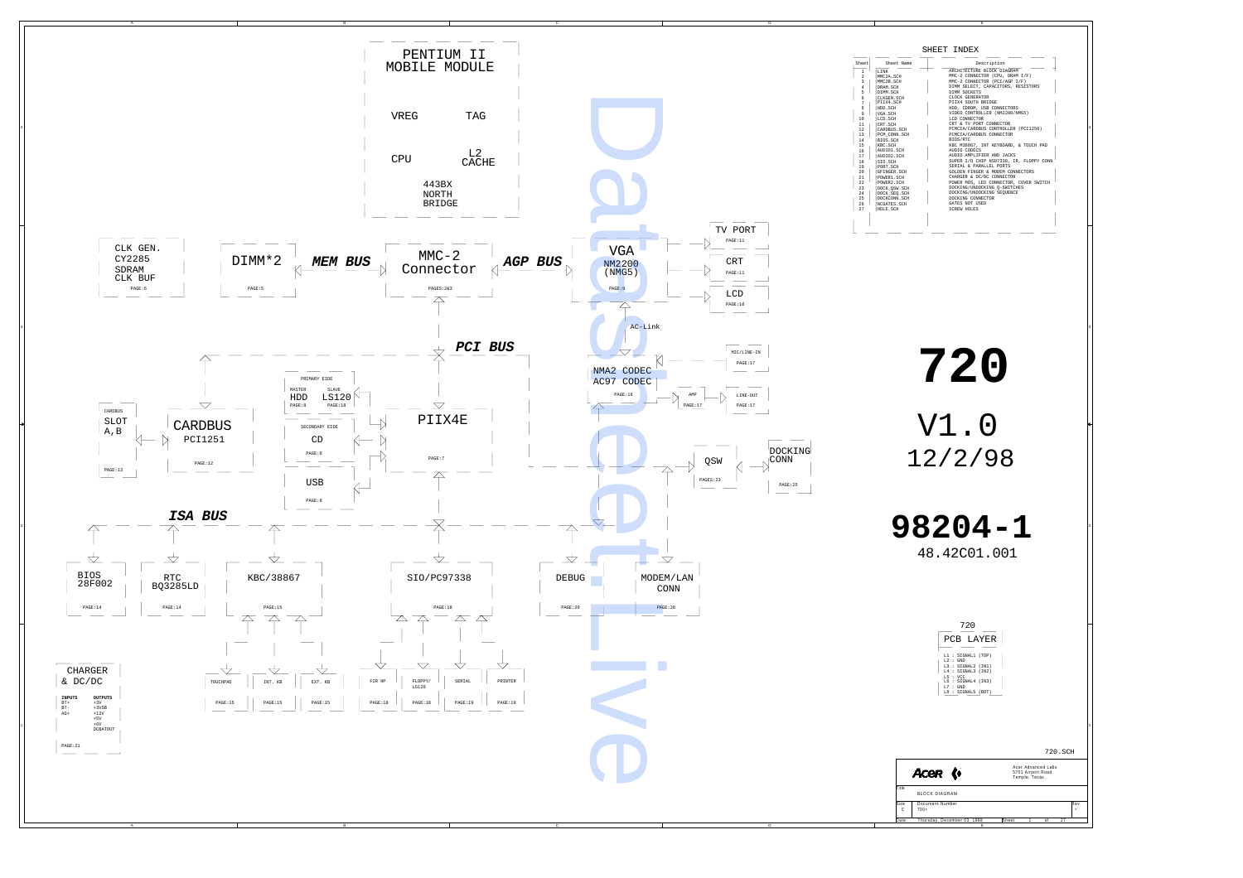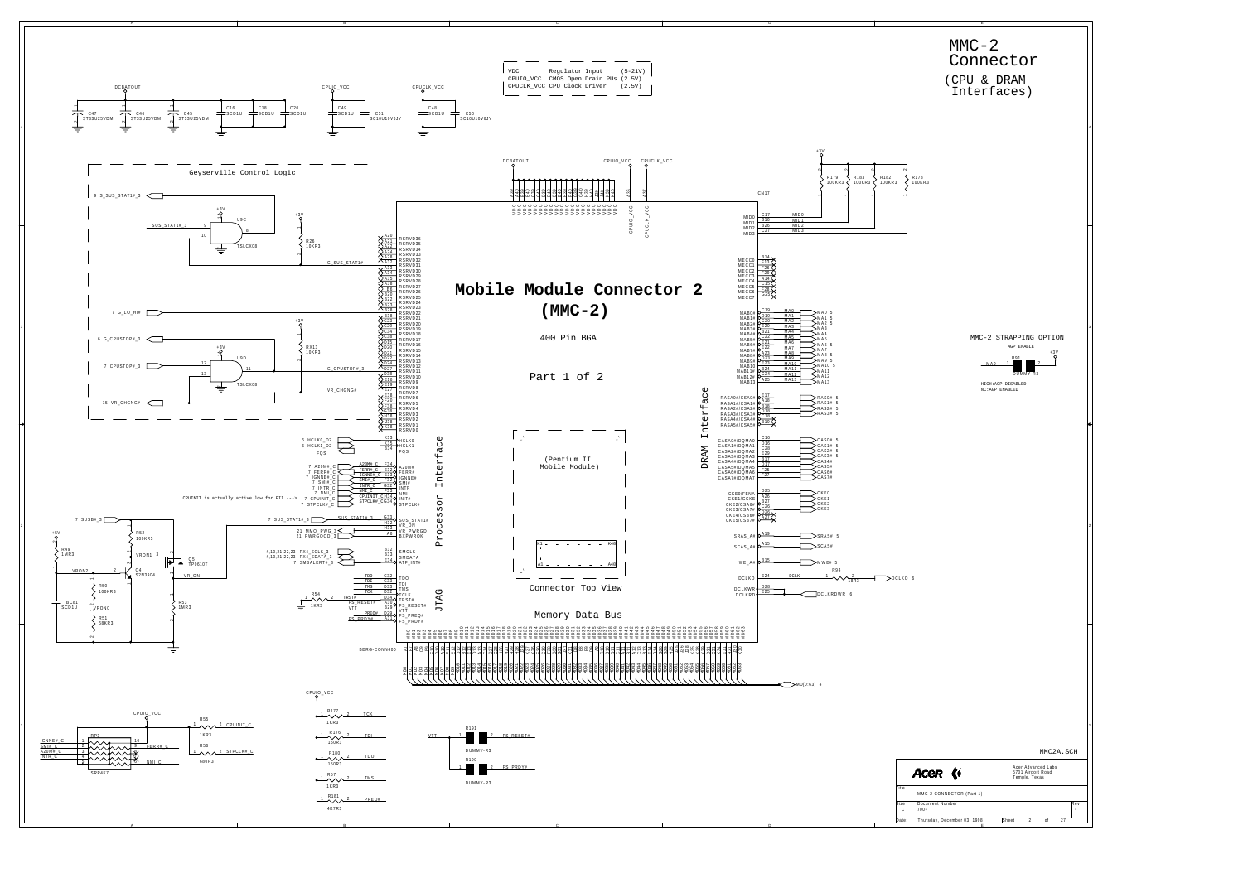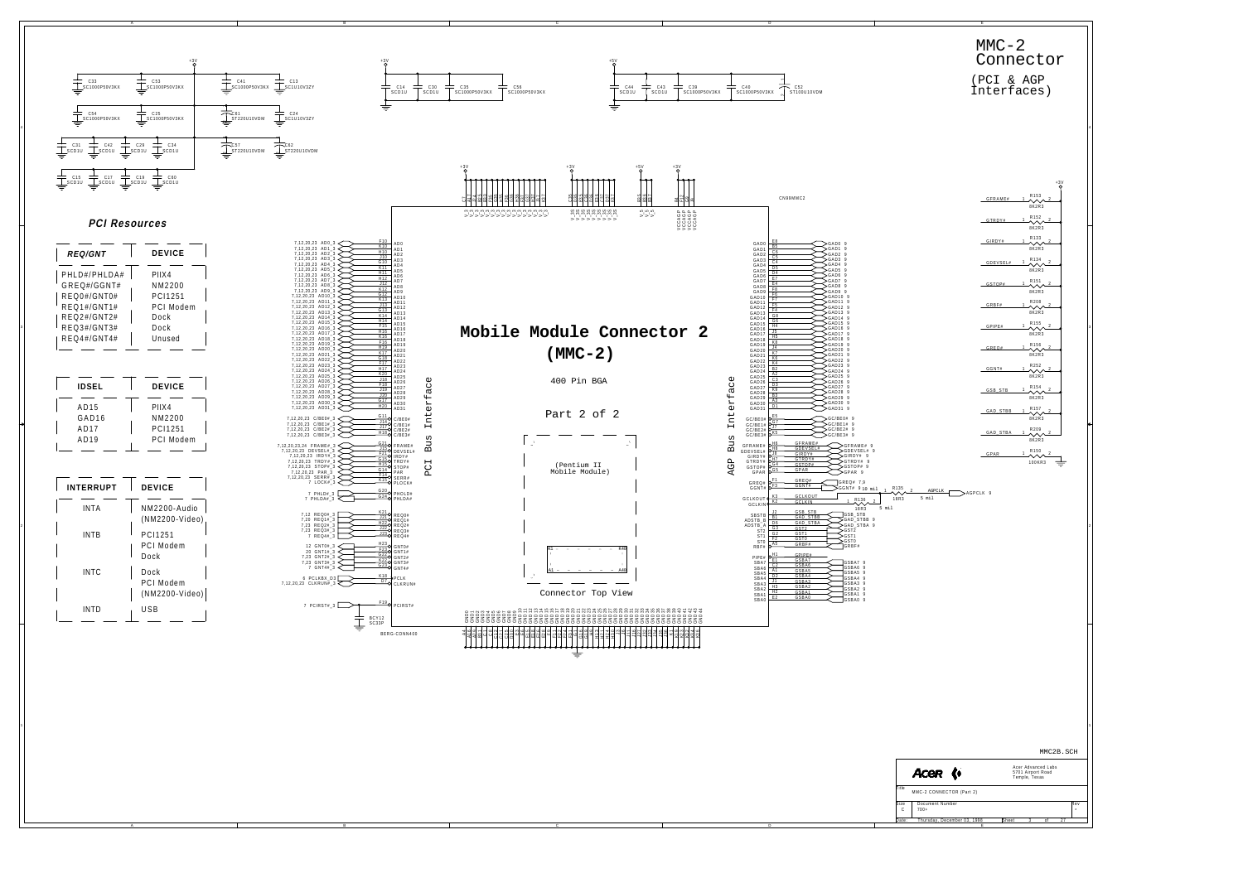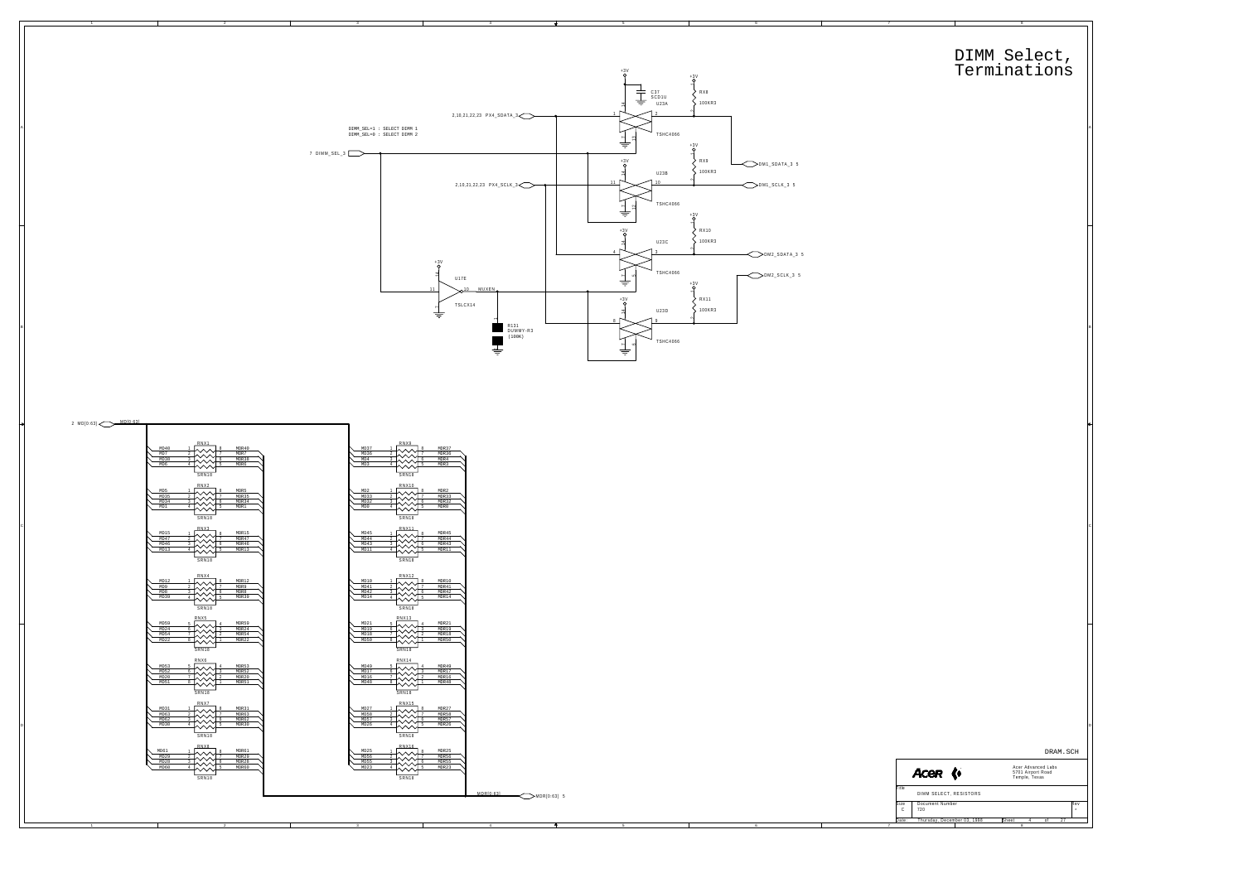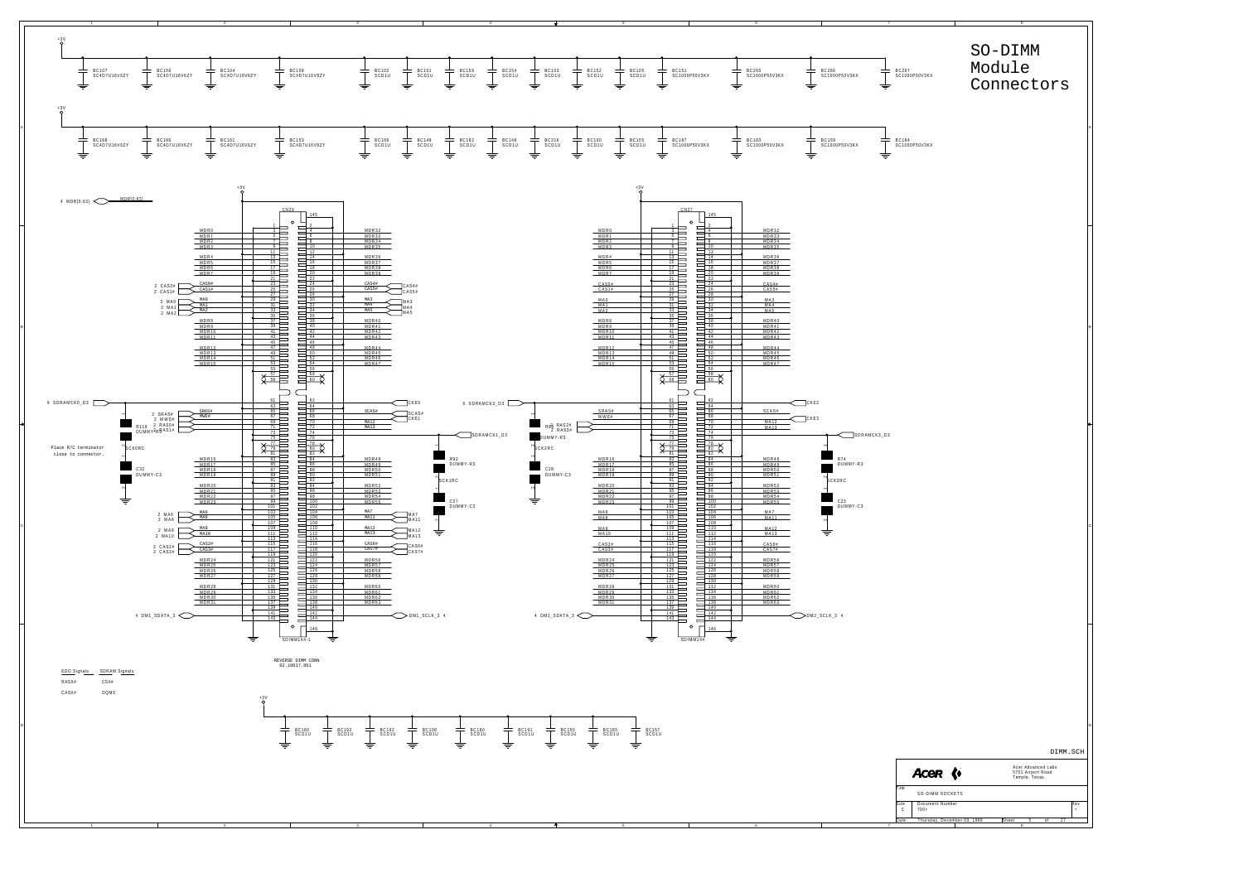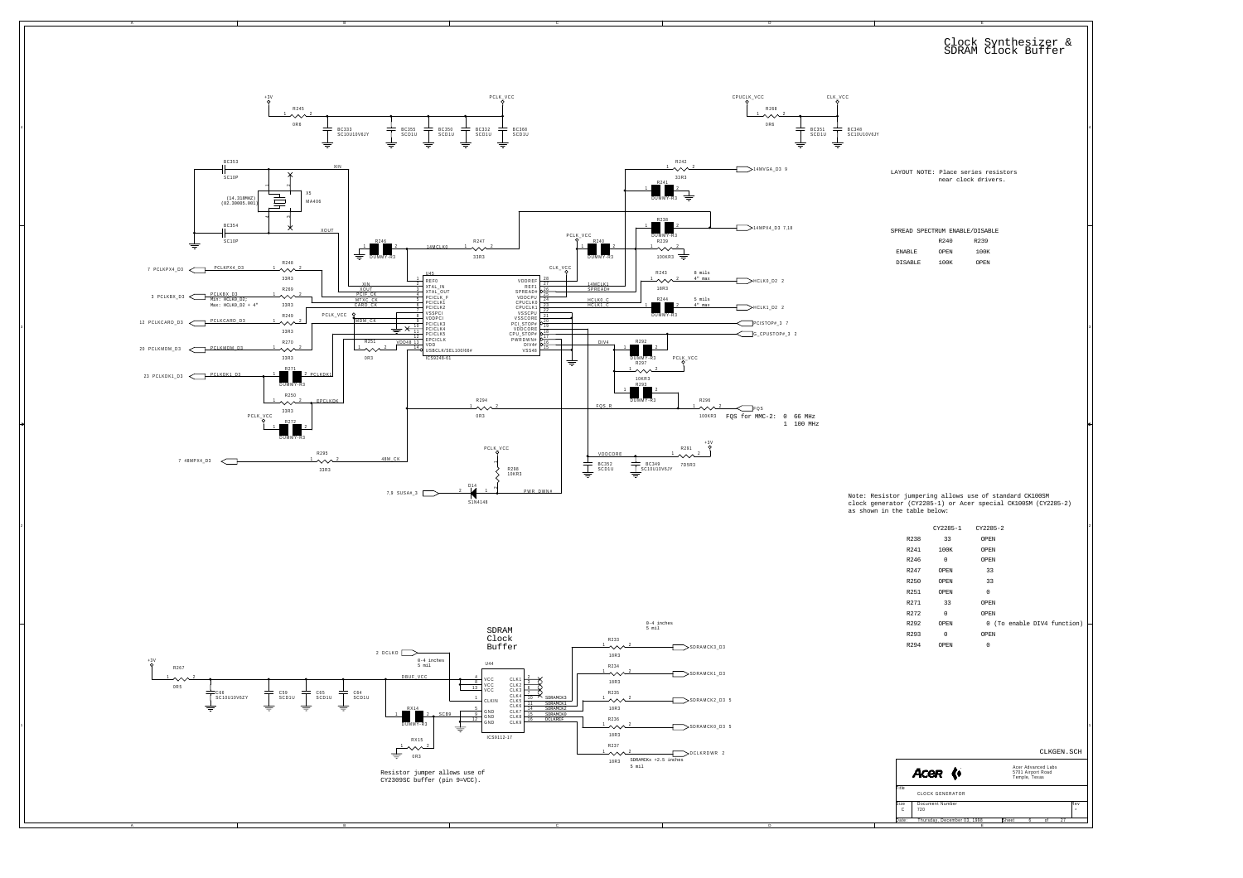

4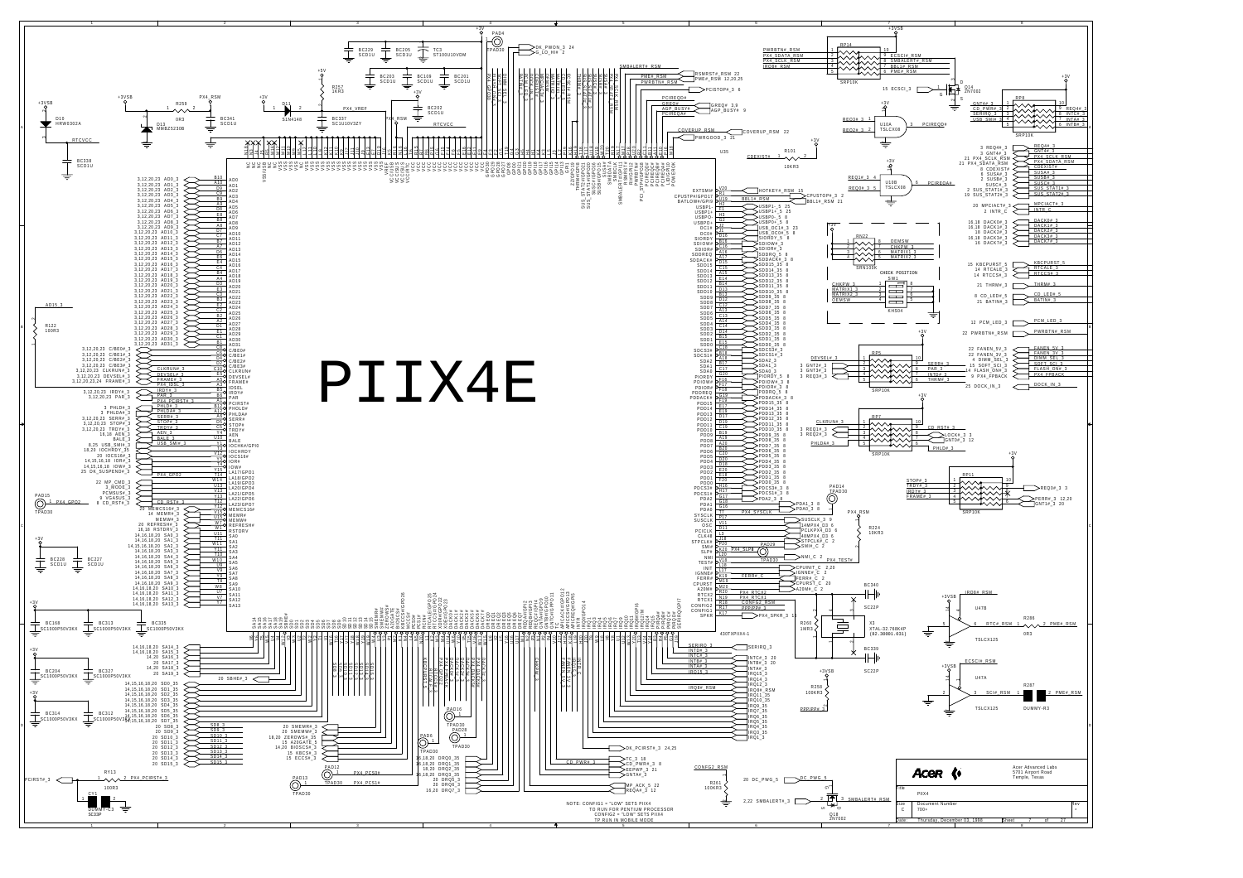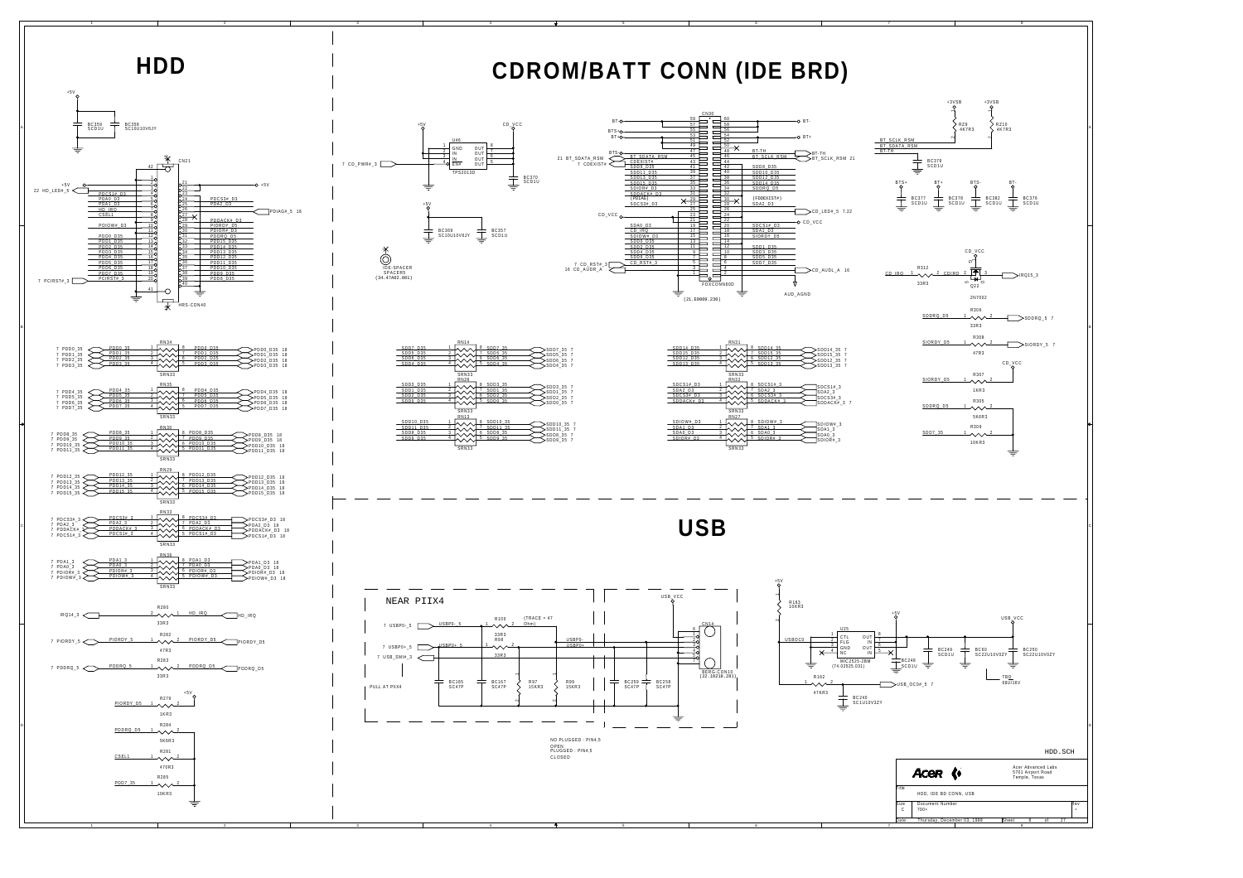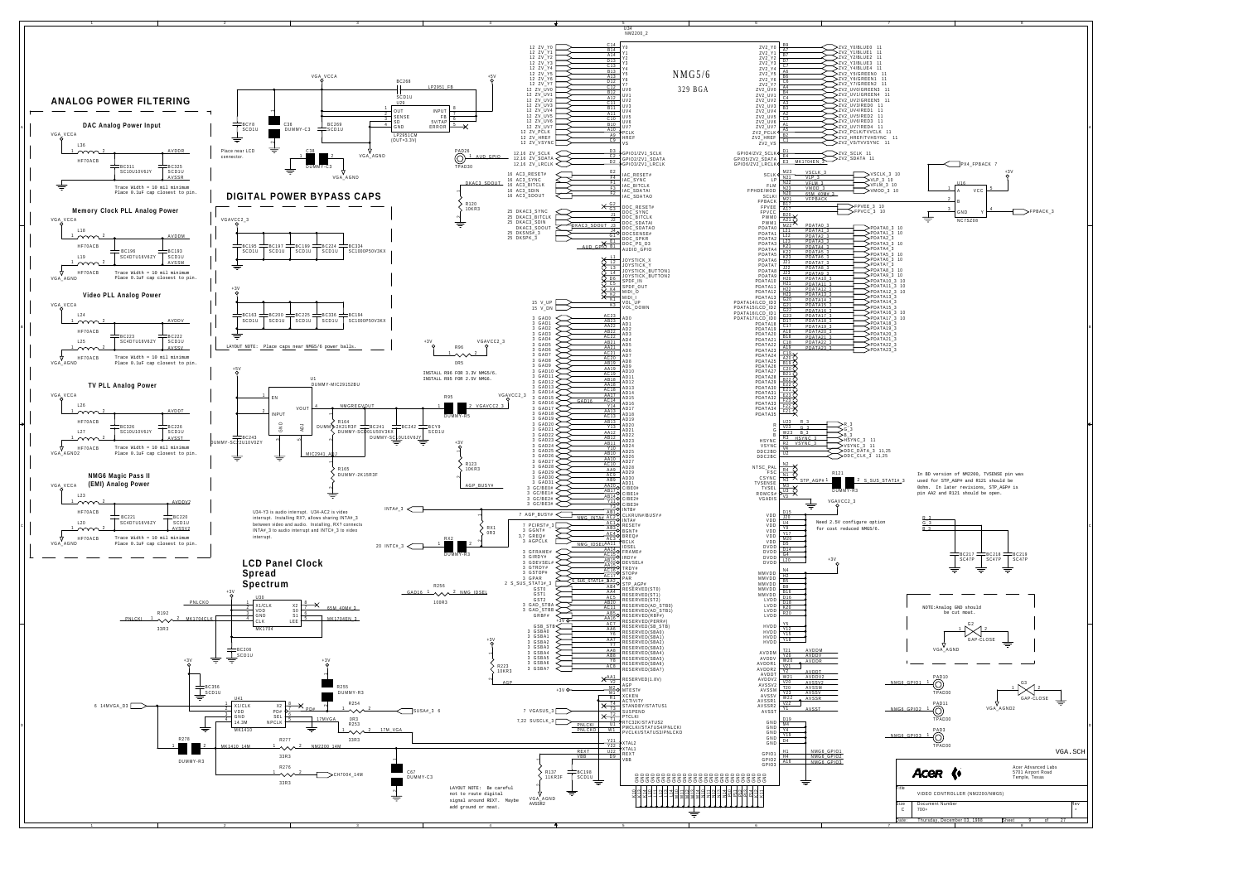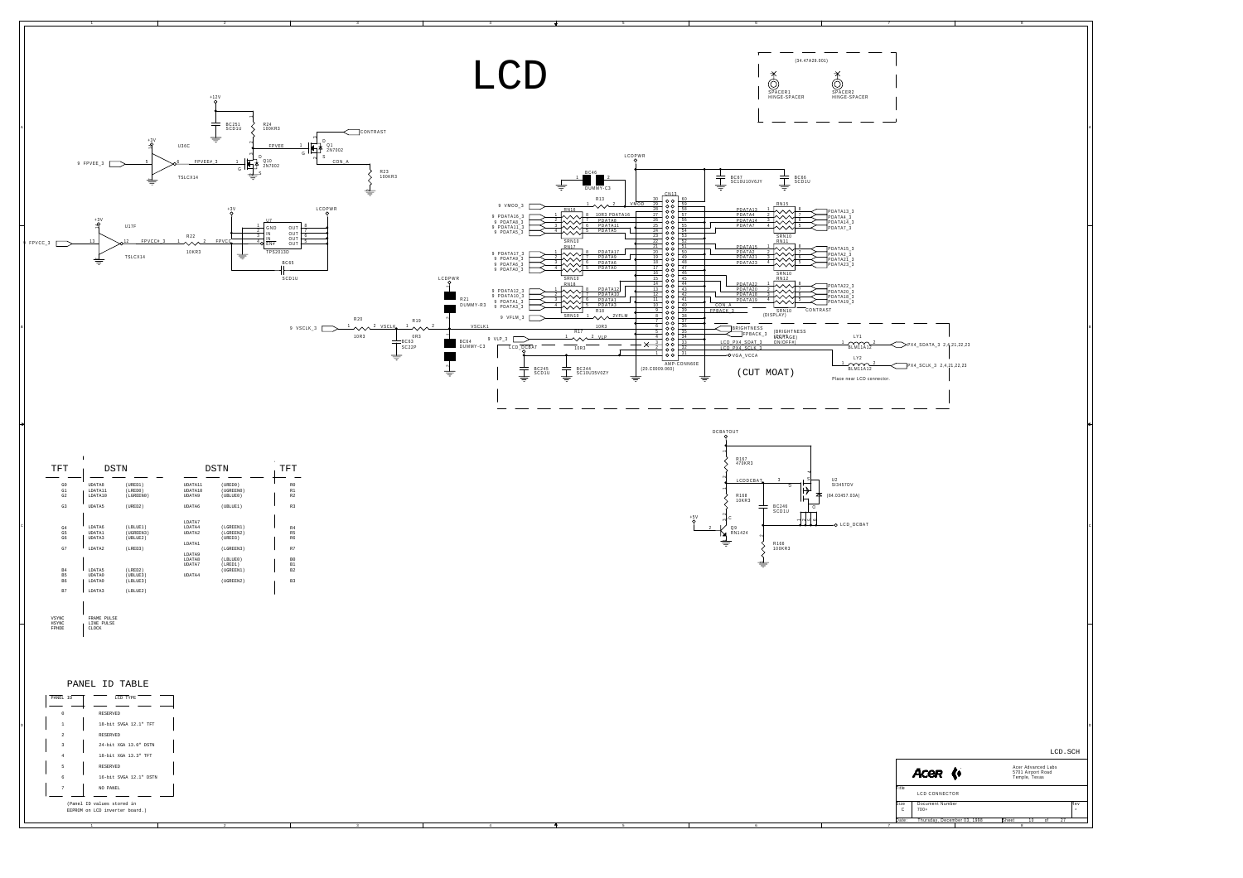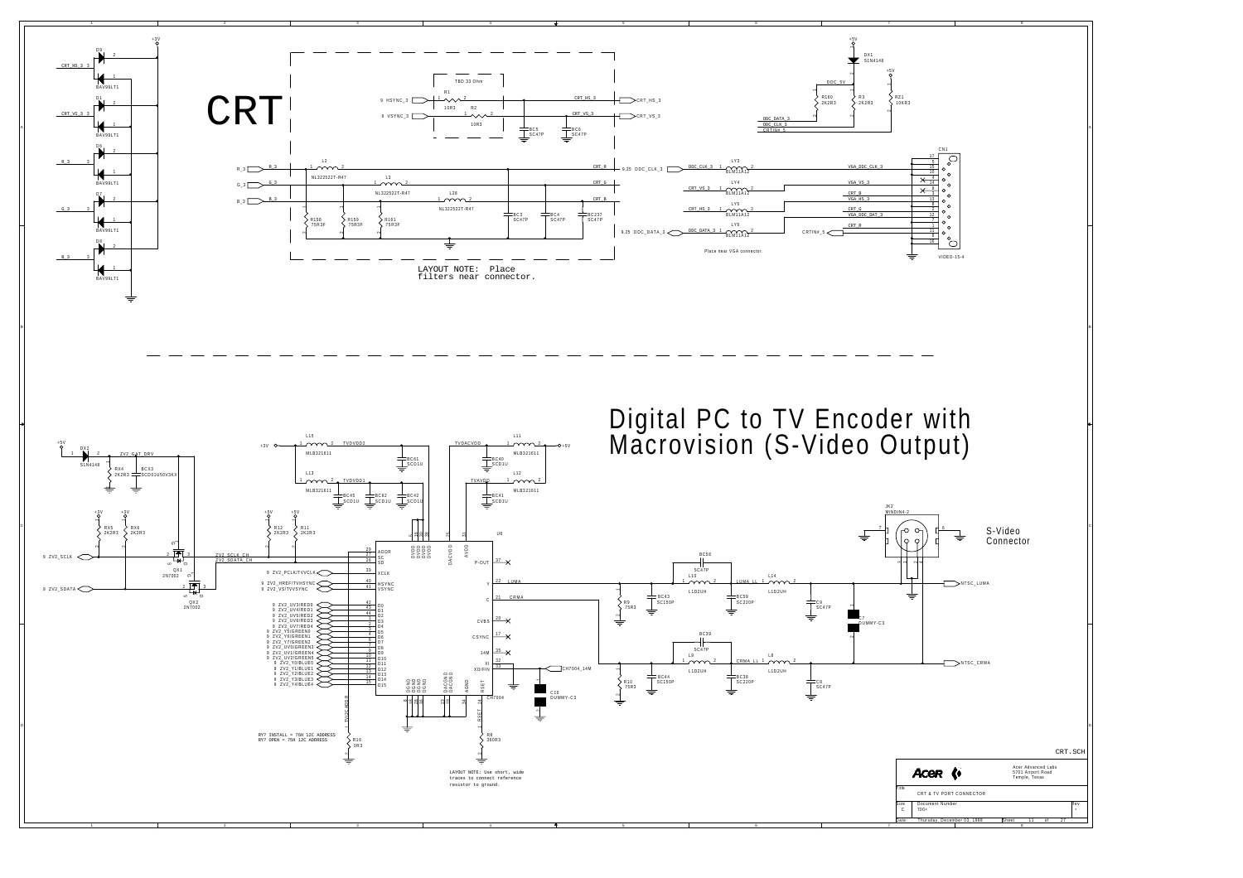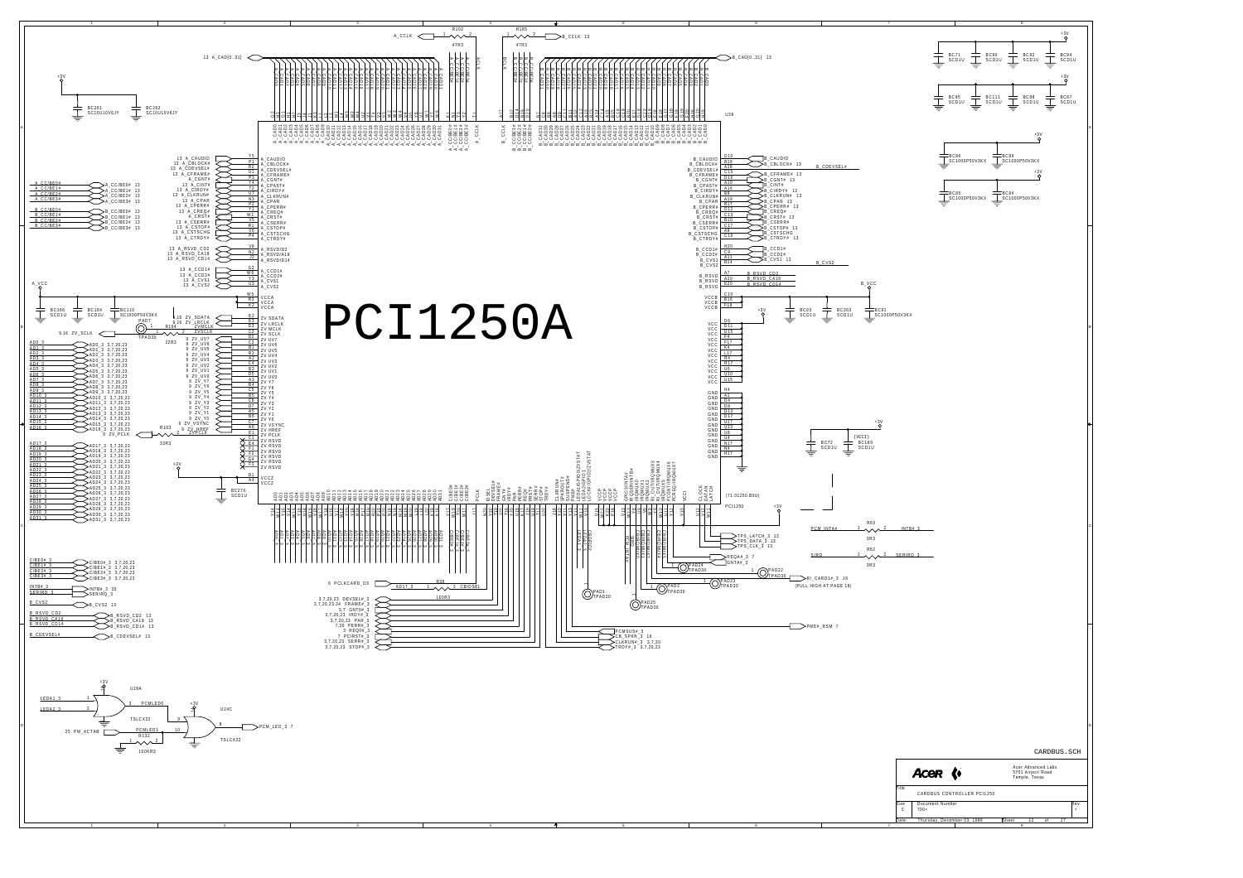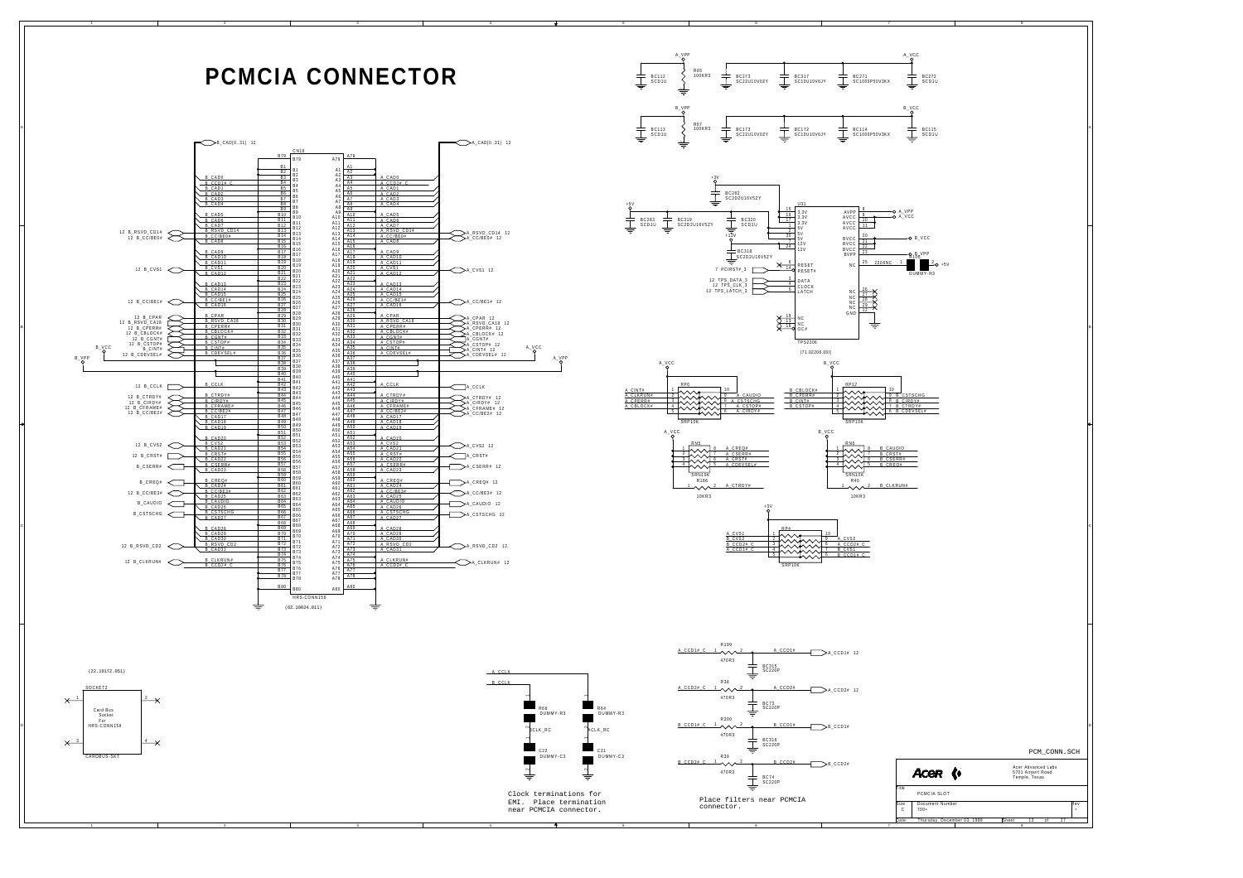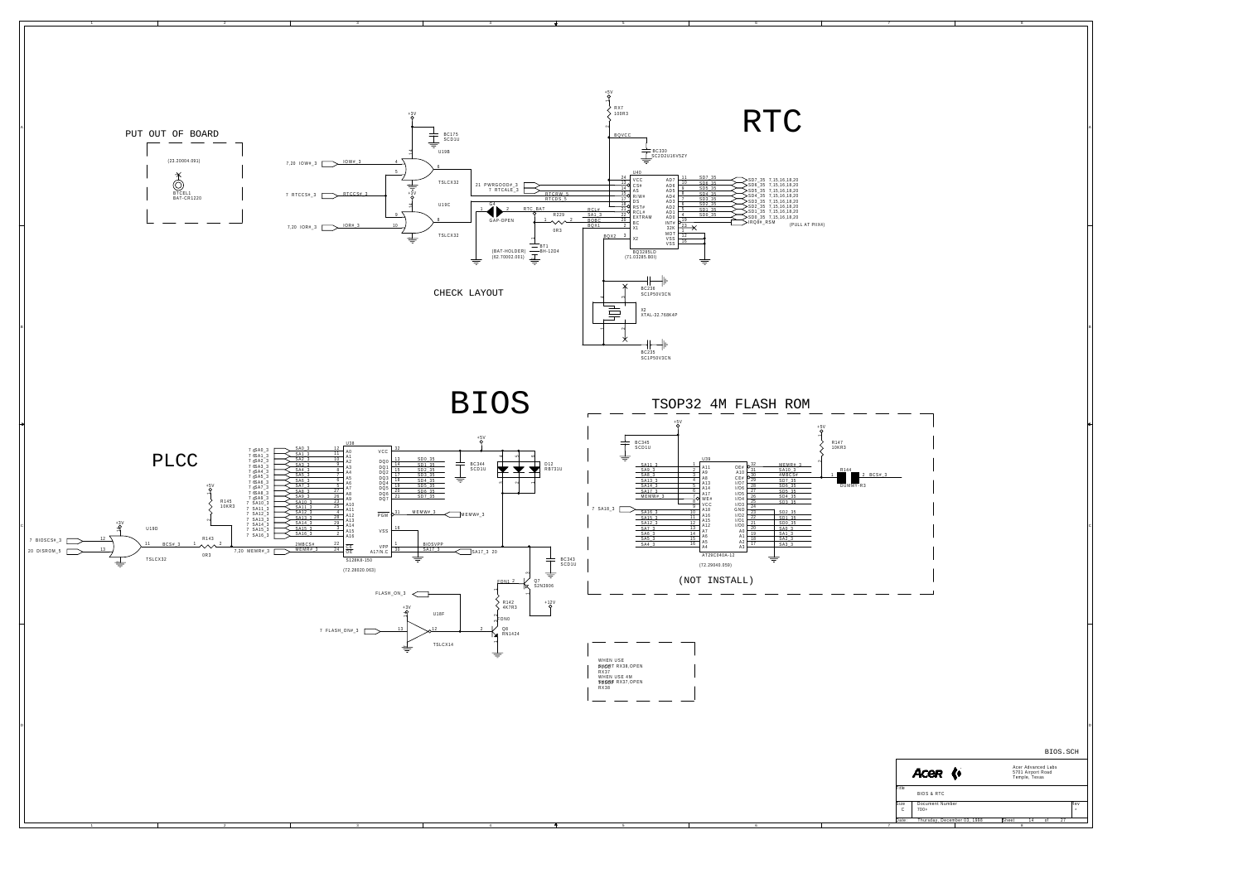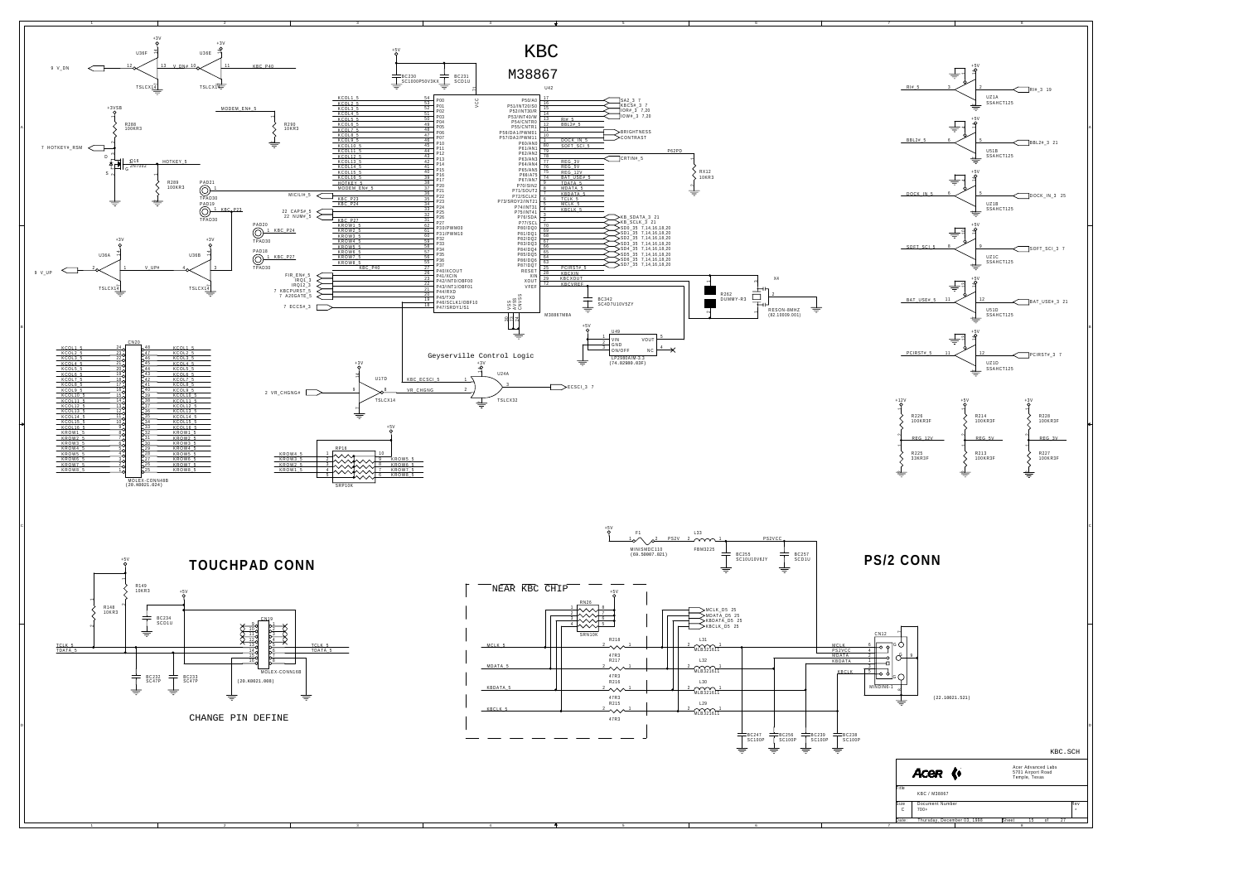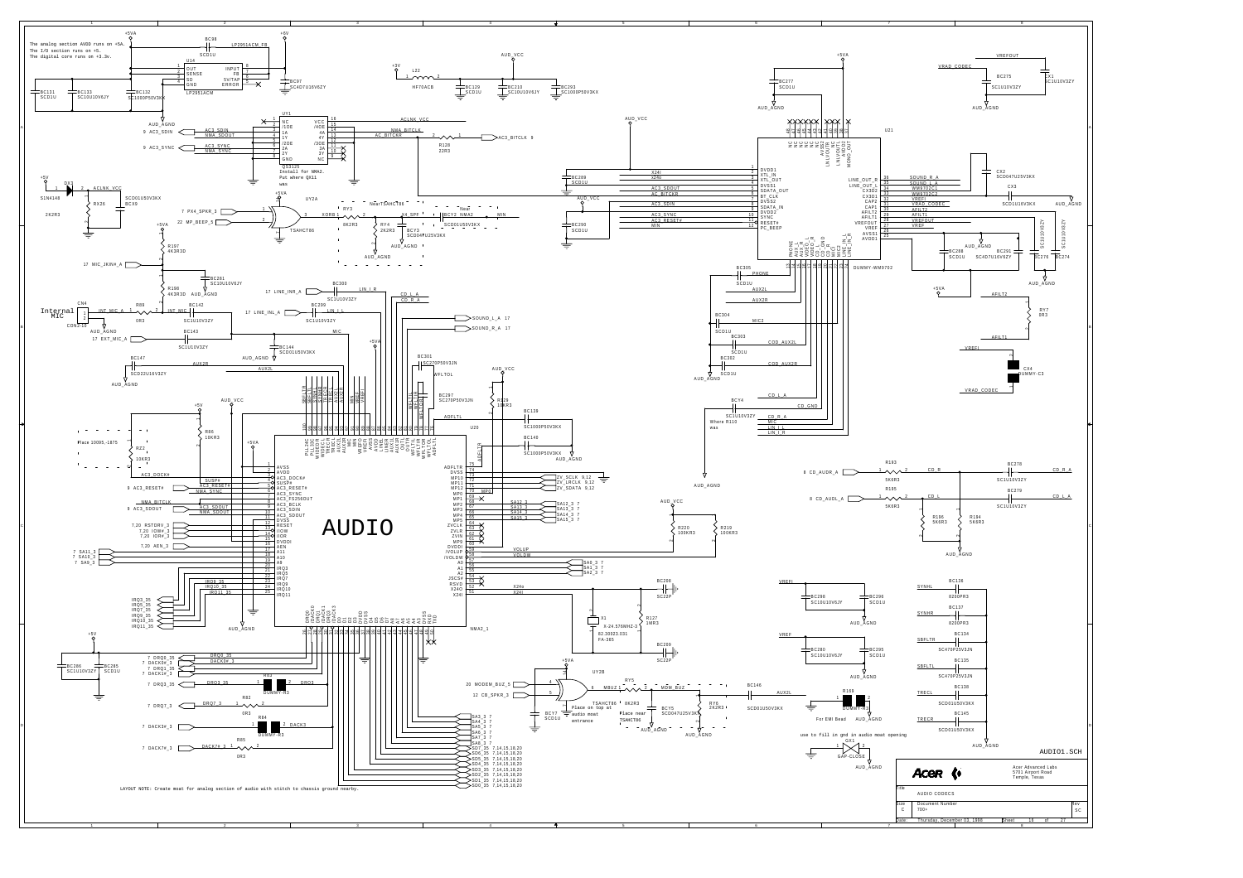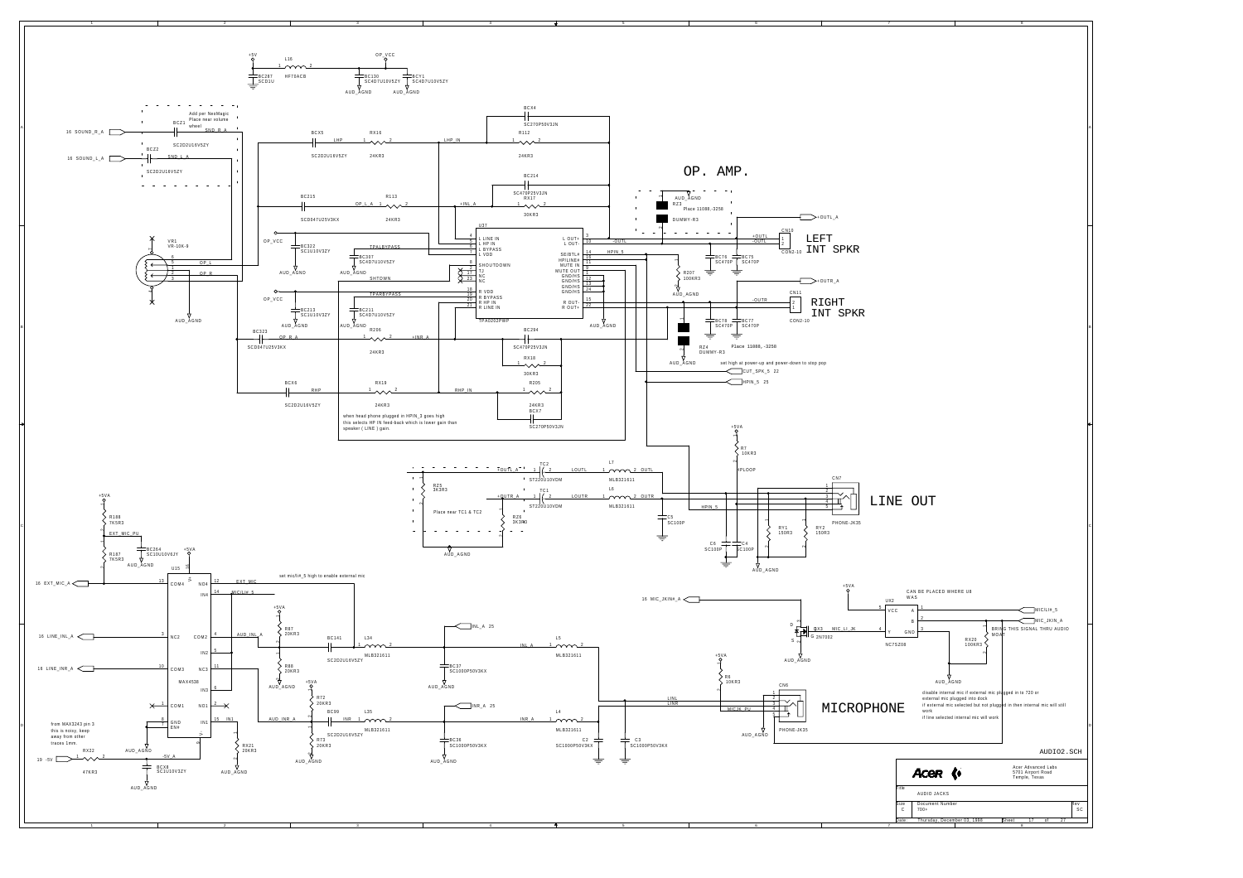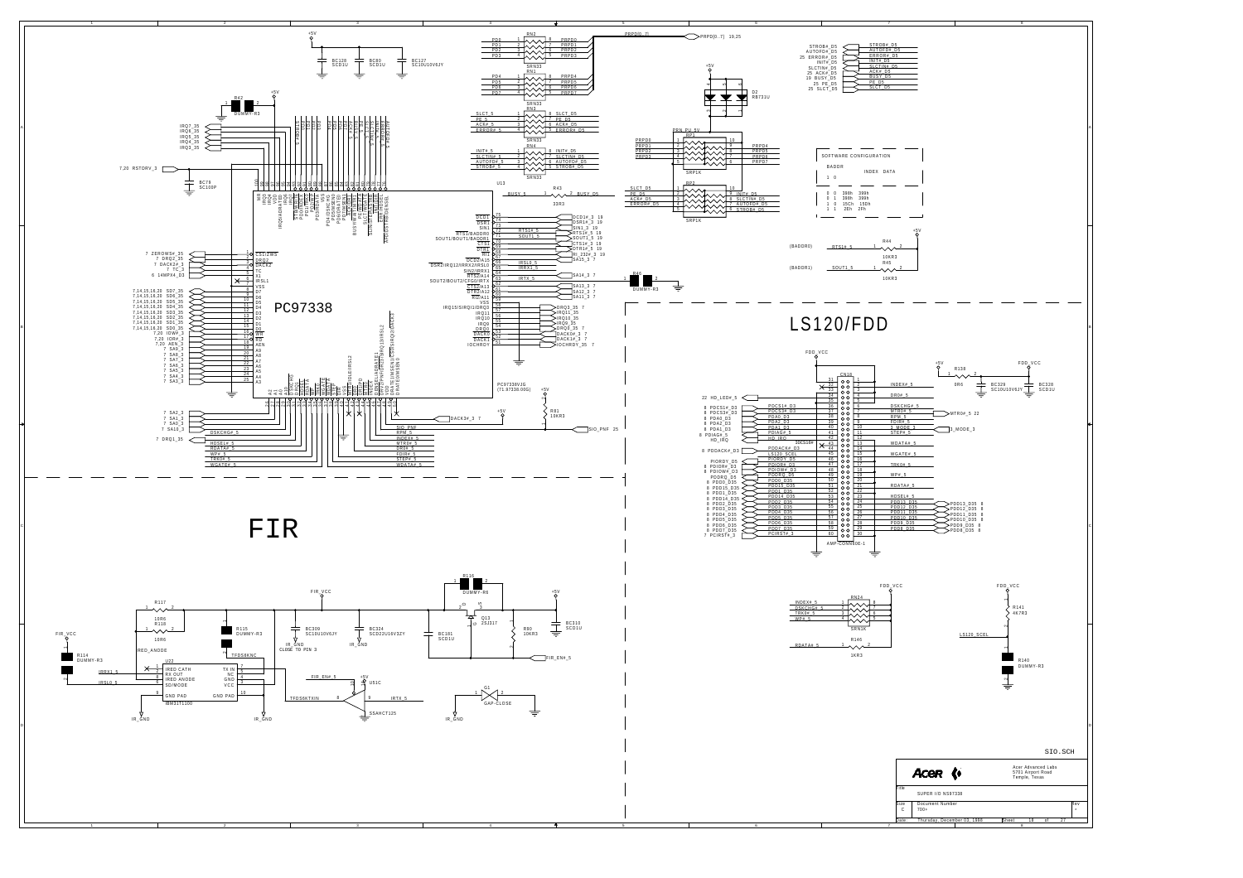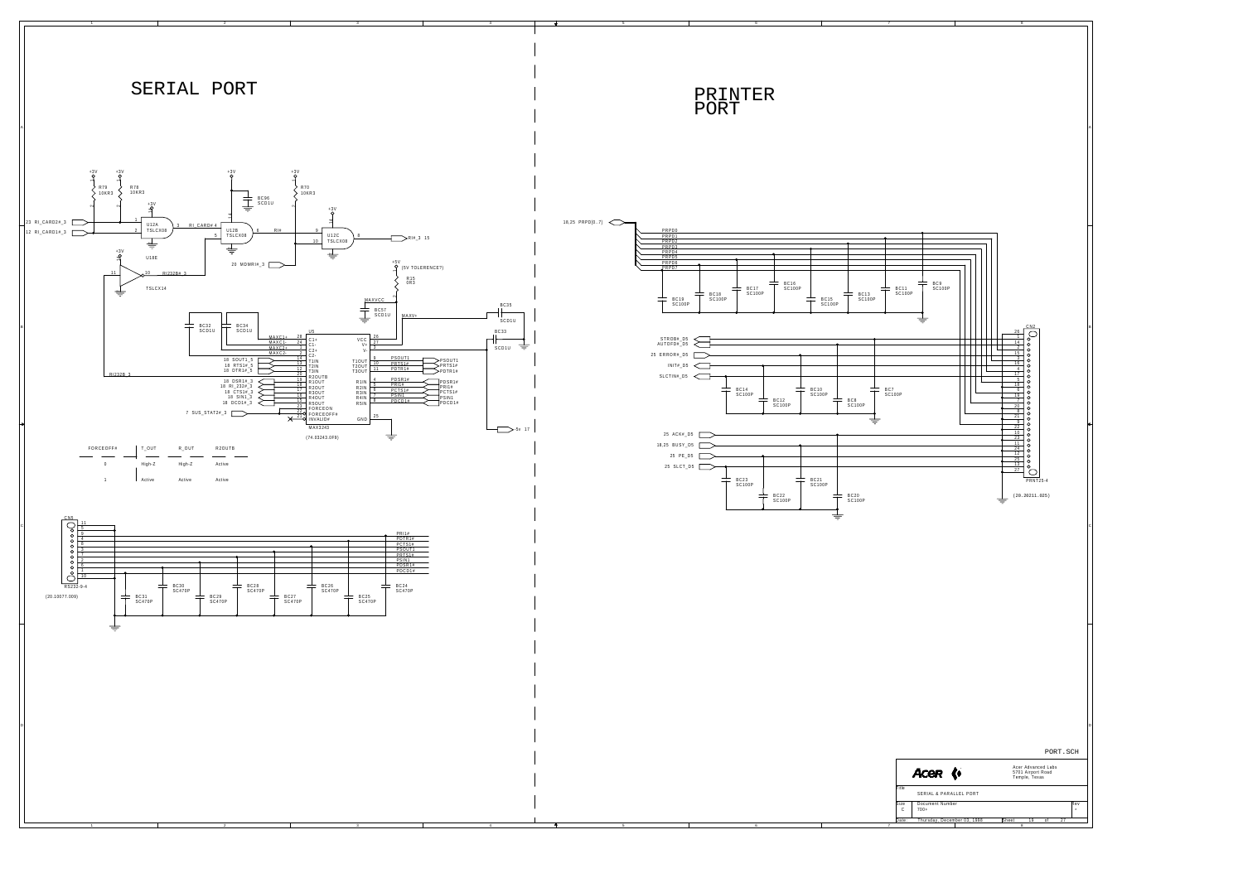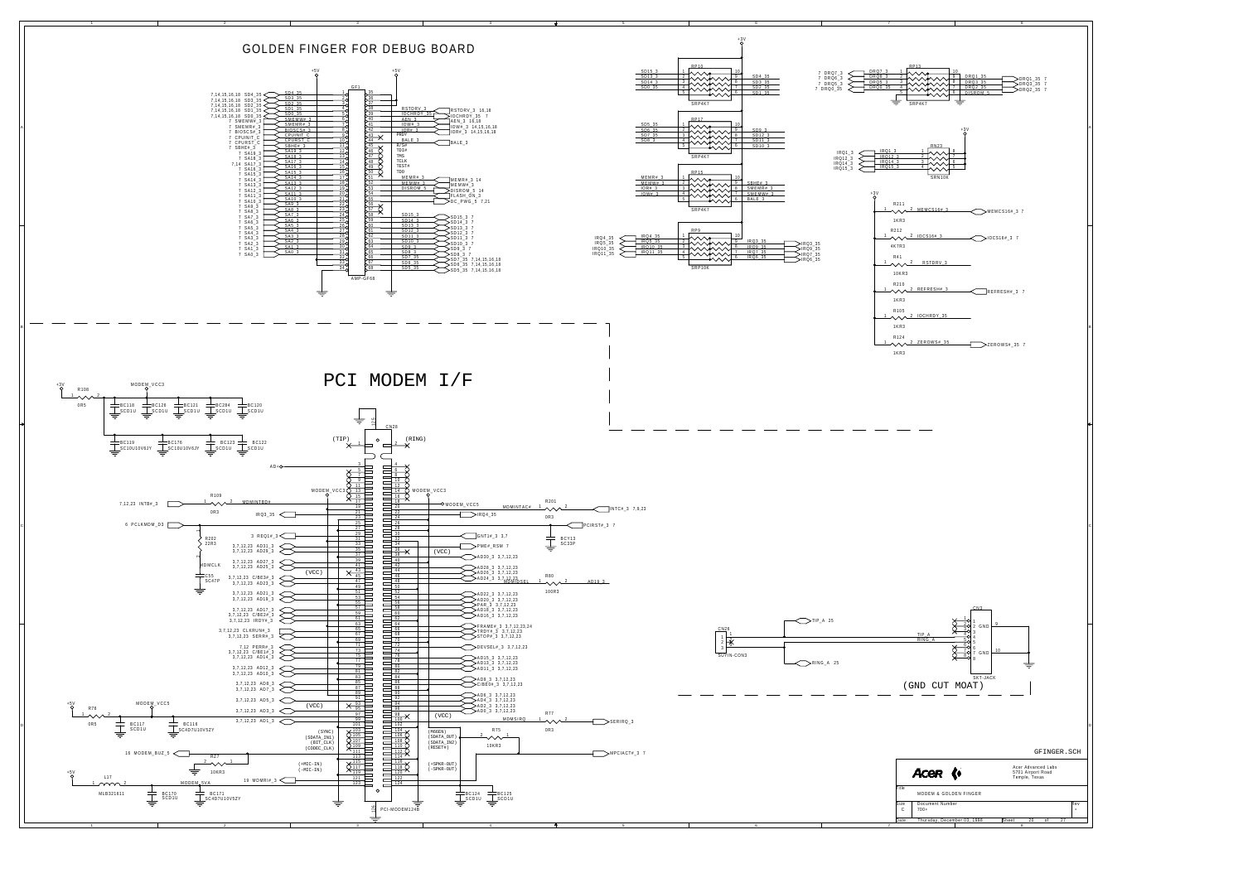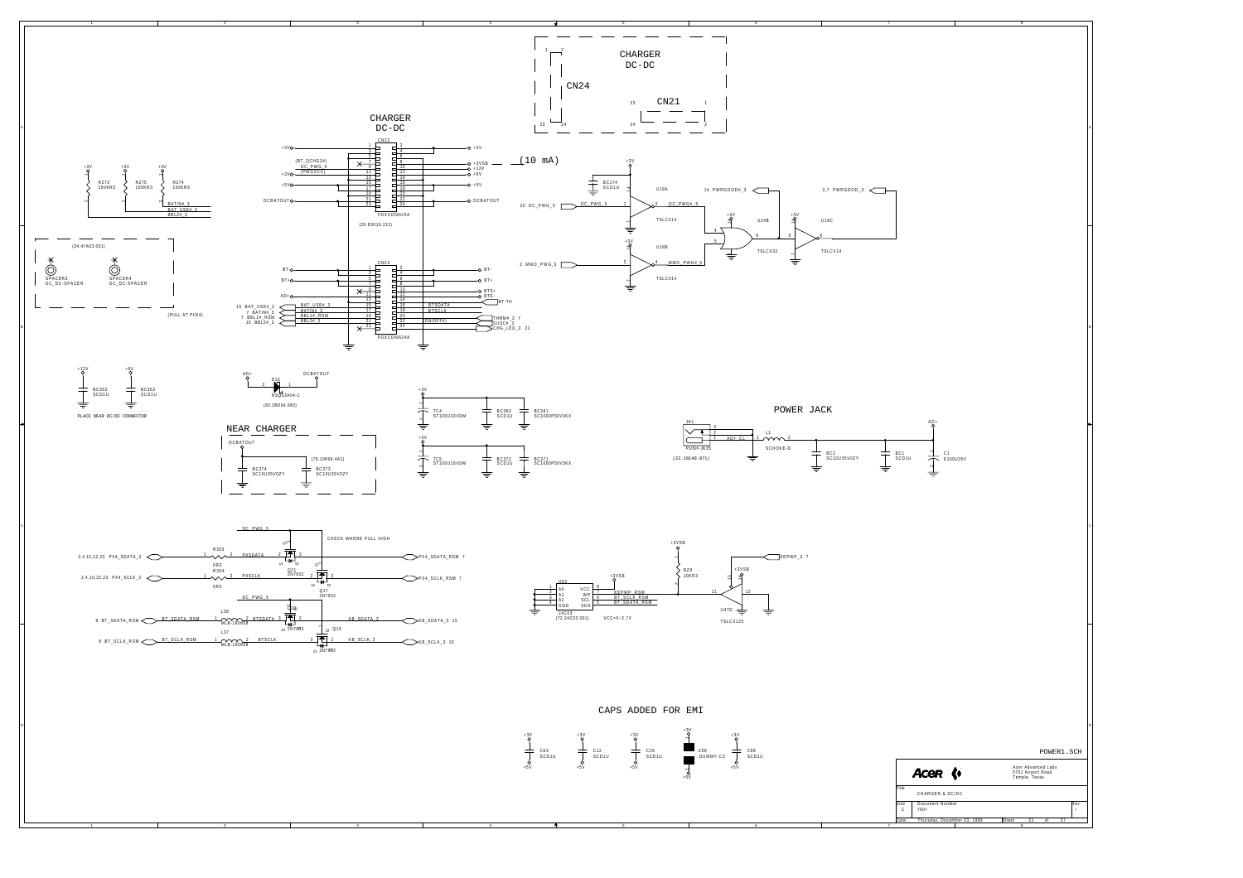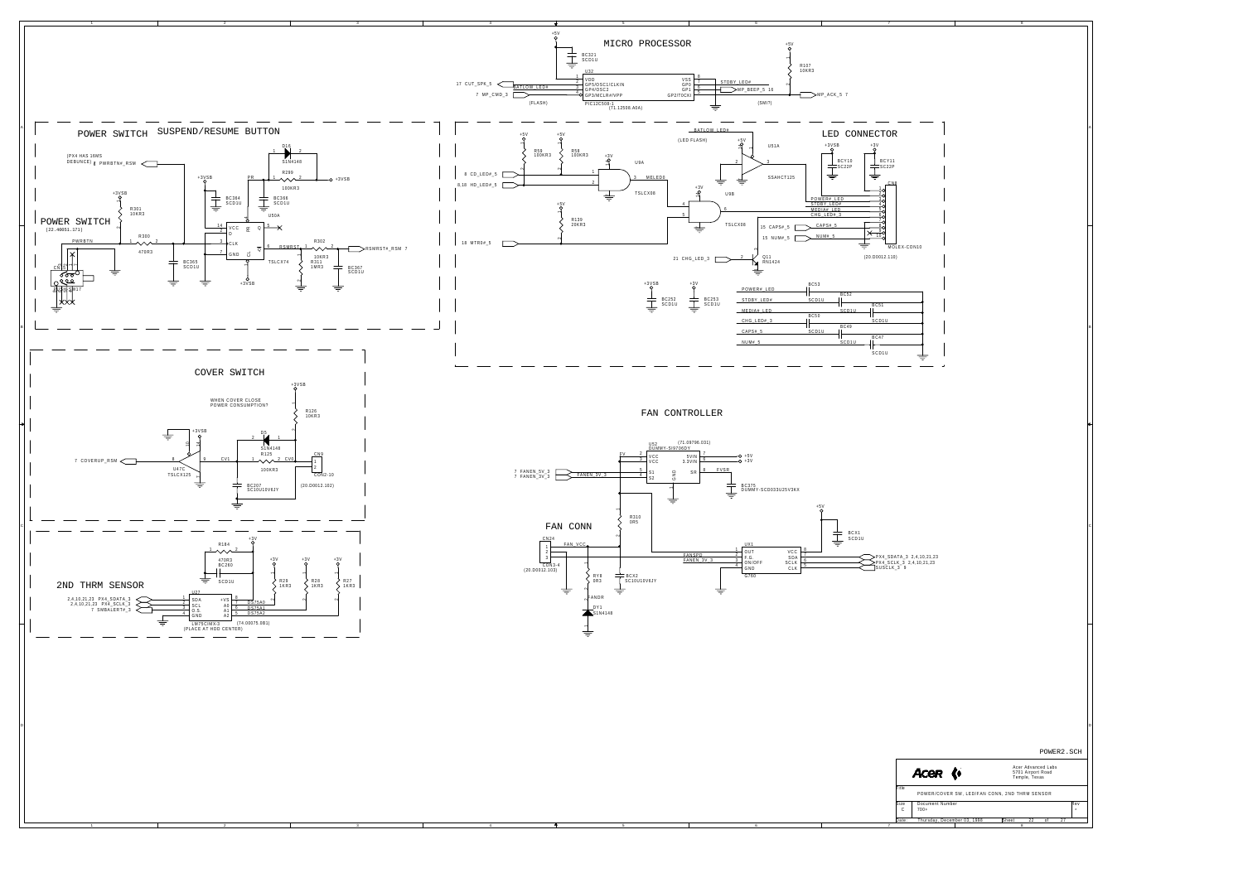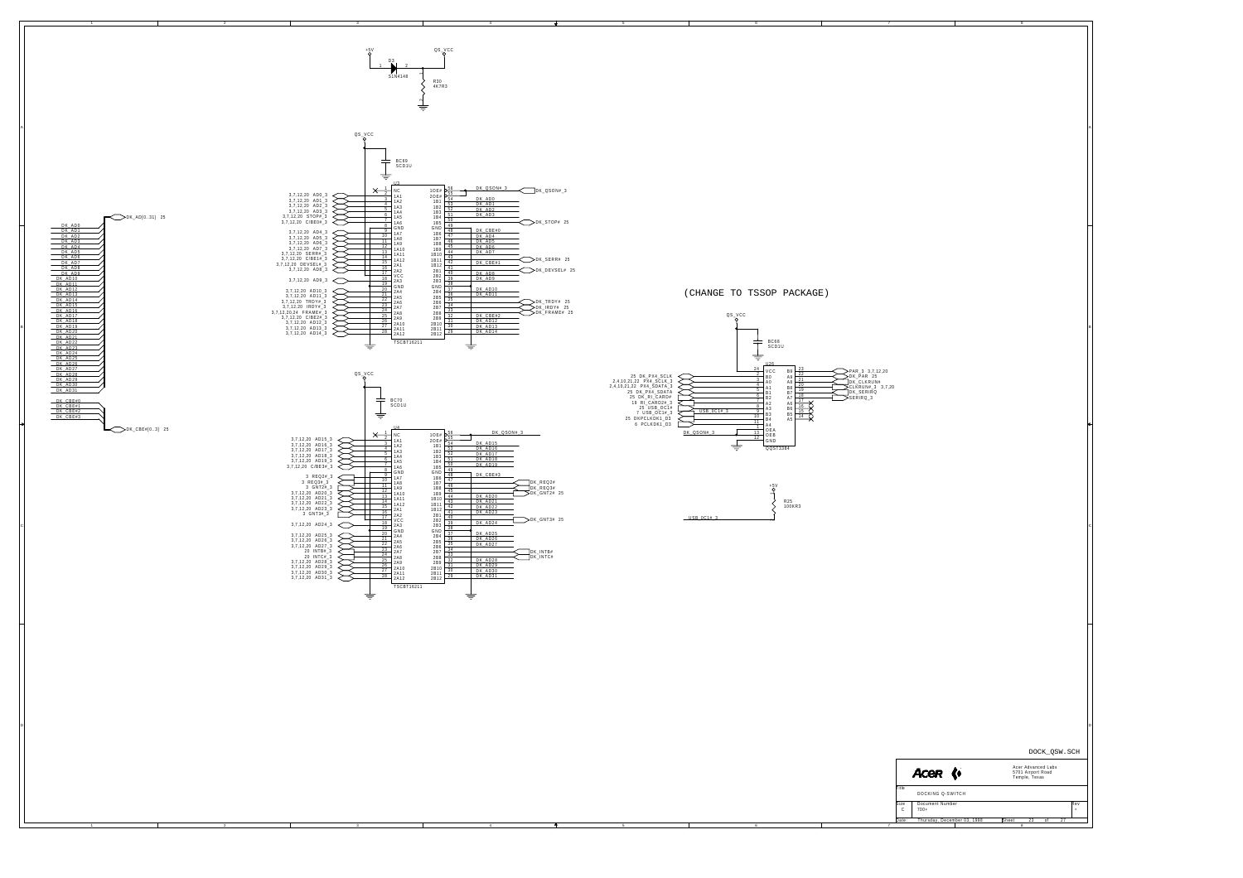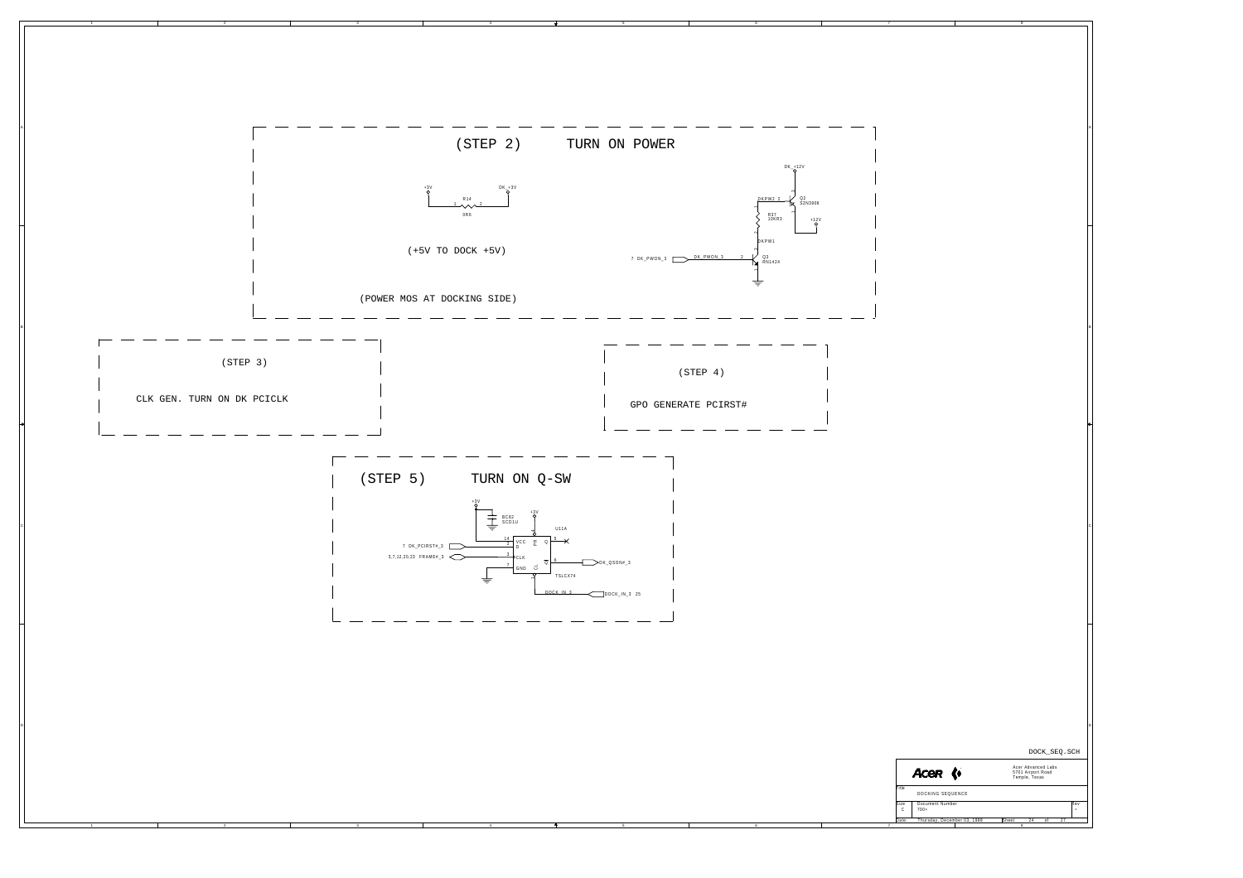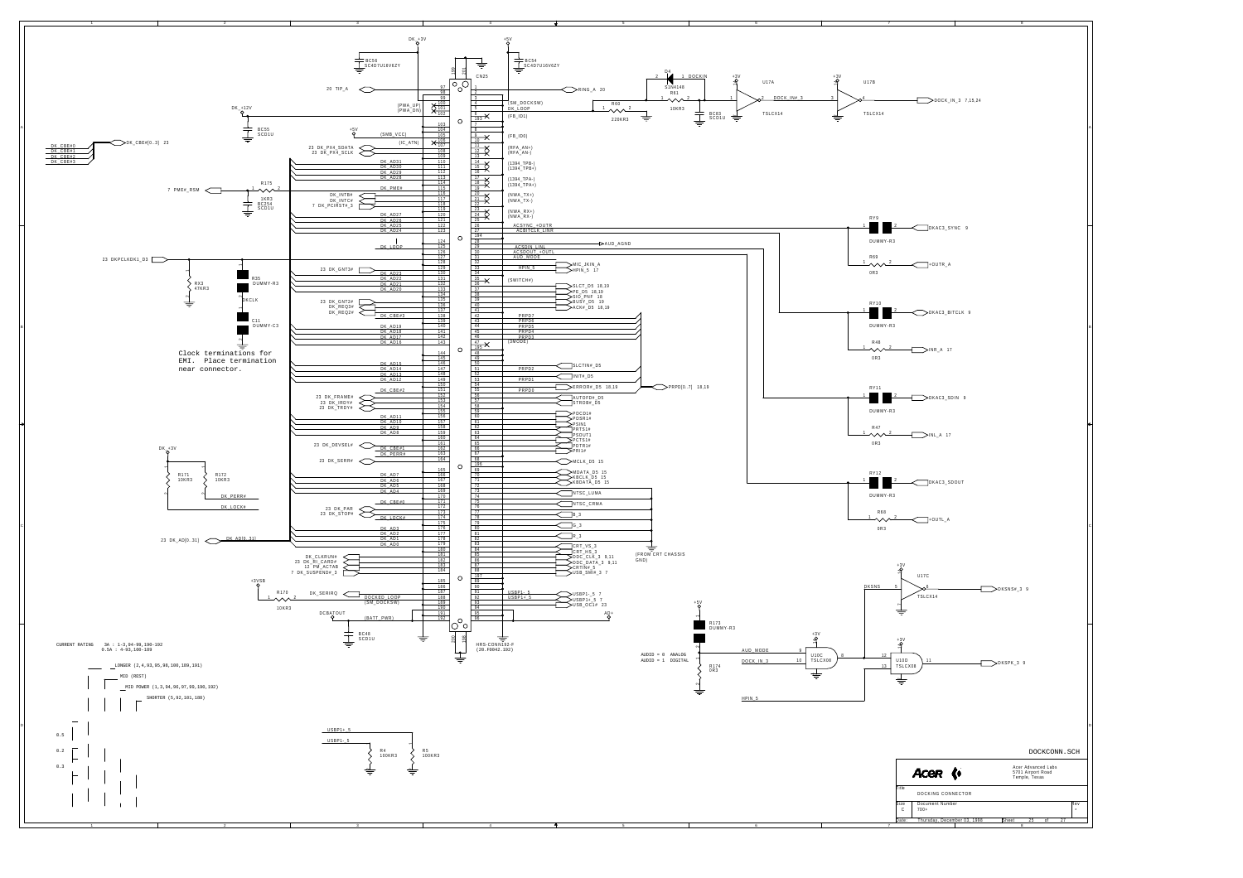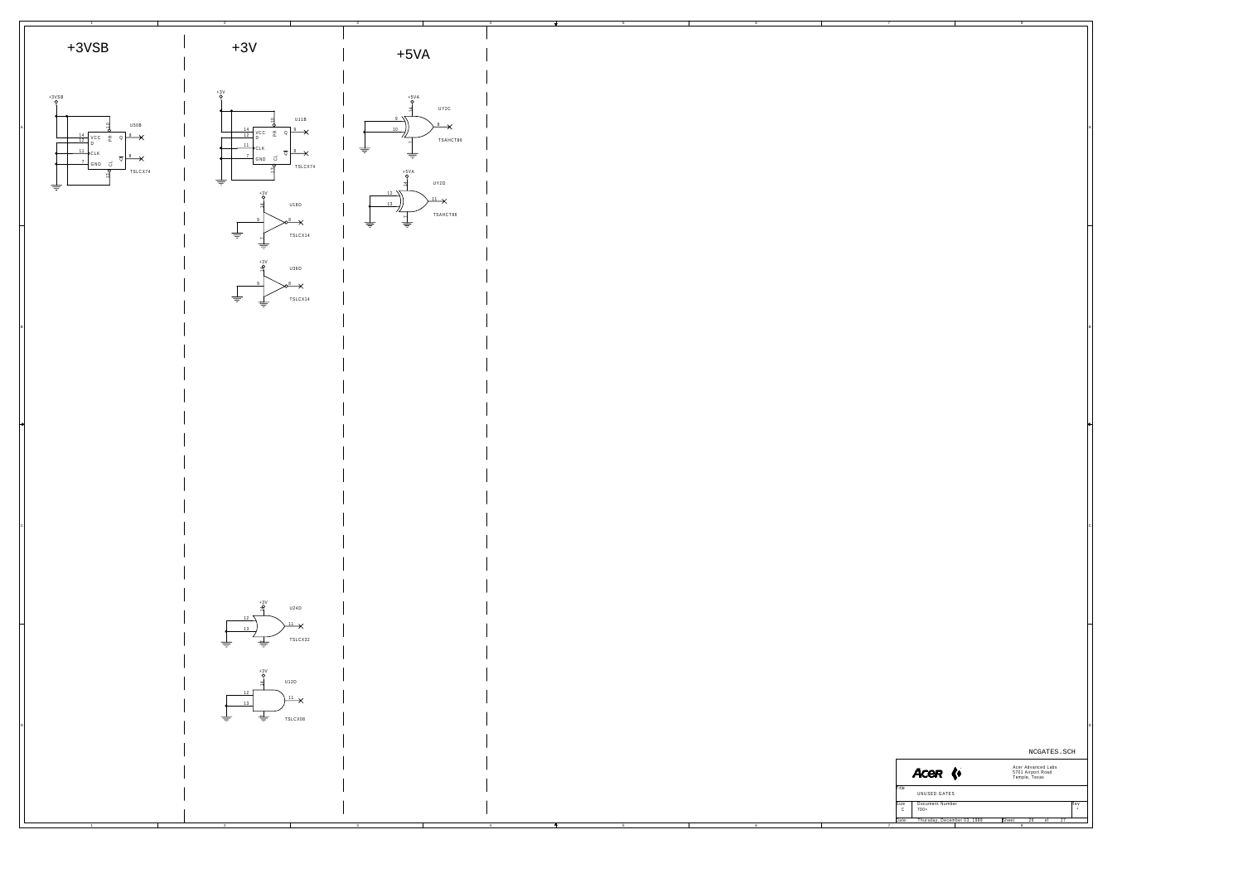![](_page_25_Figure_0.jpeg)